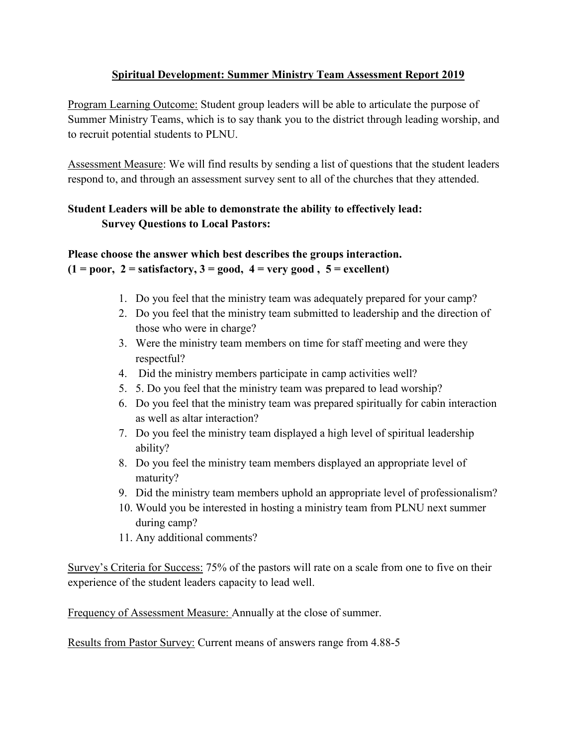## **Spiritual Development: Summer Ministry Team Assessment Report 2019**

Program Learning Outcome: Student group leaders will be able to articulate the purpose of Summer Ministry Teams, which is to say thank you to the district through leading worship, and to recruit potential students to PLNU.

Assessment Measure: We will find results by sending a list of questions that the student leaders respond to, and through an assessment survey sent to all of the churches that they attended.

## **Student Leaders will be able to demonstrate the ability to effectively lead: Survey Questions to Local Pastors:**

# **Please choose the answer which best describes the groups interaction.**   $(1 = poor, 2 = satisfactory, 3 = good, 4 = very good, 5 = excellent)$

- 1. Do you feel that the ministry team was adequately prepared for your camp?
- 2. Do you feel that the ministry team submitted to leadership and the direction of those who were in charge?
- 3. Were the ministry team members on time for staff meeting and were they respectful?
- 4. Did the ministry members participate in camp activities well?
- 5. 5. Do you feel that the ministry team was prepared to lead worship?
- 6. Do you feel that the ministry team was prepared spiritually for cabin interaction as well as altar interaction?
- 7. Do you feel the ministry team displayed a high level of spiritual leadership ability?
- 8. Do you feel the ministry team members displayed an appropriate level of maturity?
- 9. Did the ministry team members uphold an appropriate level of professionalism?
- 10. Would you be interested in hosting a ministry team from PLNU next summer during camp?
- 11. Any additional comments?

Survey's Criteria for Success: 75% of the pastors will rate on a scale from one to five on their experience of the student leaders capacity to lead well.

Frequency of Assessment Measure: Annually at the close of summer.

Results from Pastor Survey: Current means of answers range from 4.88-5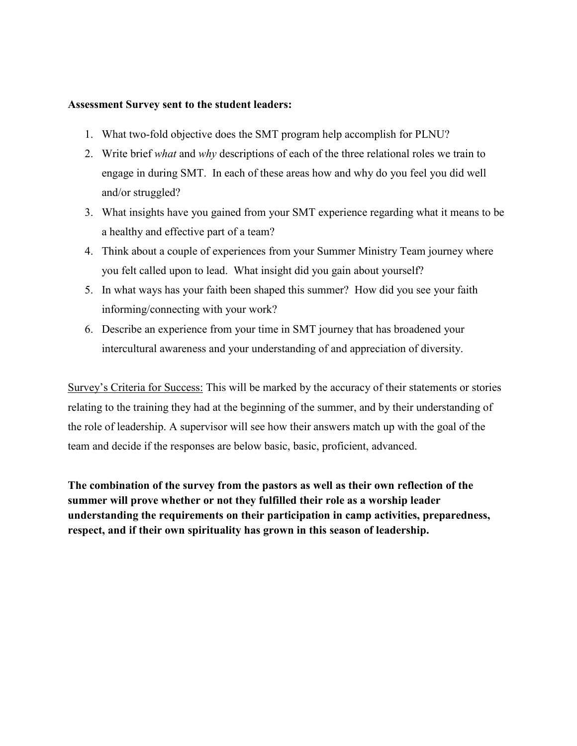#### **Assessment Survey sent to the student leaders:**

- 1. What two-fold objective does the SMT program help accomplish for PLNU?
- 2. Write brief *what* and *why* descriptions of each of the three relational roles we train to engage in during SMT. In each of these areas how and why do you feel you did well and/or struggled?
- 3. What insights have you gained from your SMT experience regarding what it means to be a healthy and effective part of a team?
- 4. Think about a couple of experiences from your Summer Ministry Team journey where you felt called upon to lead. What insight did you gain about yourself?
- 5. In what ways has your faith been shaped this summer? How did you see your faith informing/connecting with your work?
- 6. Describe an experience from your time in SMT journey that has broadened your intercultural awareness and your understanding of and appreciation of diversity.

Survey's Criteria for Success: This will be marked by the accuracy of their statements or stories relating to the training they had at the beginning of the summer, and by their understanding of the role of leadership. A supervisor will see how their answers match up with the goal of the team and decide if the responses are below basic, basic, proficient, advanced.

**The combination of the survey from the pastors as well as their own reflection of the summer will prove whether or not they fulfilled their role as a worship leader understanding the requirements on their participation in camp activities, preparedness, respect, and if their own spirituality has grown in this season of leadership.**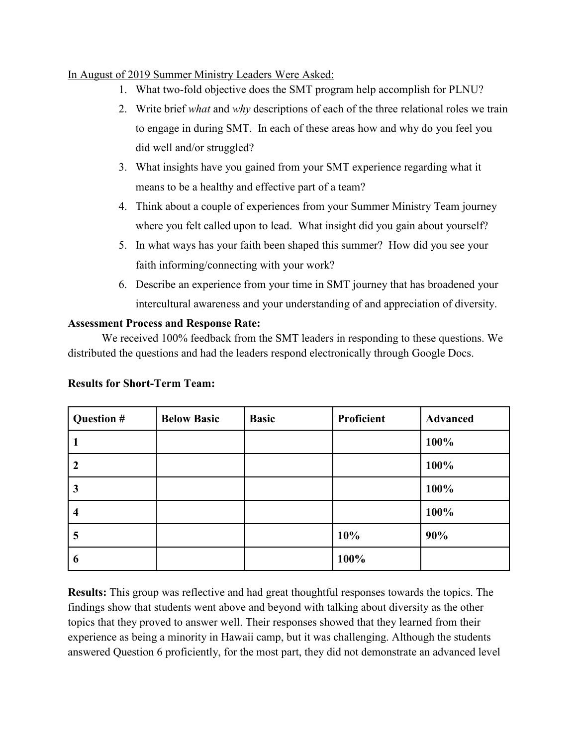## In August of 2019 Summer Ministry Leaders Were Asked:

- 1. What two-fold objective does the SMT program help accomplish for PLNU?
- 2. Write brief *what* and *why* descriptions of each of the three relational roles we train to engage in during SMT. In each of these areas how and why do you feel you did well and/or struggled?
- 3. What insights have you gained from your SMT experience regarding what it means to be a healthy and effective part of a team?
- 4. Think about a couple of experiences from your Summer Ministry Team journey where you felt called upon to lead. What insight did you gain about yourself?
- 5. In what ways has your faith been shaped this summer? How did you see your faith informing/connecting with your work?
- 6. Describe an experience from your time in SMT journey that has broadened your intercultural awareness and your understanding of and appreciation of diversity.

## **Assessment Process and Response Rate:**

We received 100% feedback from the SMT leaders in responding to these questions. We distributed the questions and had the leaders respond electronically through Google Docs.

**Results for Short-Term Team:**

| Question # | <b>Below Basic</b> | <b>Basic</b> | Proficient | <b>Advanced</b> |
|------------|--------------------|--------------|------------|-----------------|
|            |                    |              |            | 100%            |
| 2          |                    |              |            | 100%            |
| 3          |                    |              |            | 100%            |
| 4          |                    |              |            | 100%            |
| 5          |                    |              | 10%        | 90%             |
| 6          |                    |              | 100%       |                 |

**Results:** This group was reflective and had great thoughtful responses towards the topics. The findings show that students went above and beyond with talking about diversity as the other topics that they proved to answer well. Their responses showed that they learned from their experience as being a minority in Hawaii camp, but it was challenging. Although the students answered Question 6 proficiently, for the most part, they did not demonstrate an advanced level